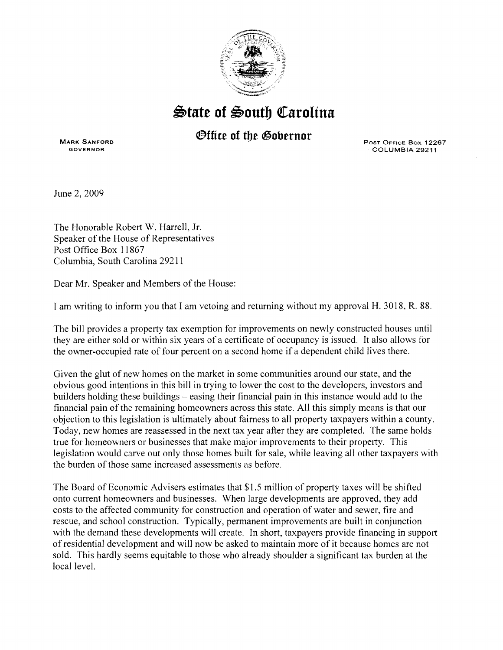

## ~tate **of** ~outb ~arolina

## *®ffice of the Governor*

MARK SANFORD GOVERNOR

POST OFFICE Box 12267 COLUMBIA 29211

June 2, 2009

The Honorable Robert W. Harrell, Jr. Speaker of the House of Representatives Post Office Box 11867 Columbia, South Carolina 29211

Dear Mr. Speaker and Members of the House:

I am writing to inform you that I am vetoing and returning without my approval H. 3018, R. 88.

The bill provides a property tax exemption for improvements on newly constructed houses until they are either sold or within six years of a certificate of occupancy is issued. It also allows for the owner-occupied rate of four percent on a second home if a dependent child lives there.

Given the glut of new homes on the market in some communities around our state, and the obvious good intentions in this bill in trying to lower the cost to the developers, investors and builders holding these buildings - easing their financial pain in this instance would add to the financial pain of the remaining homeowners across this state. All this simply means is that our objection to this legislation is ultimately about fairness to all property taxpayers within a county. Today, new homes are reassessed in the next tax year after they are completed. The same holds true for homeowners or businesses that make major improvements to their property. This legislation would carve out only those homes built for sale, while leaving all other taxpayers with the burden of those same increased assessments as before.

The Board of Economic Advisers estimates that \$1.5 million of property taxes will be shifted onto current homeowners and businesses. When large developments are approved, they add costs to the affected community for construction and operation of water and sewer, fire and rescue, and school construction. Typically, permanent improvements are built in conjunction with the demand these developments will create. In short, taxpayers provide financing in support of residential development and will now be asked to maintain more of it because homes are not sold. This hardly seems equitable to those who already shoulder a significant tax burden at the local level.